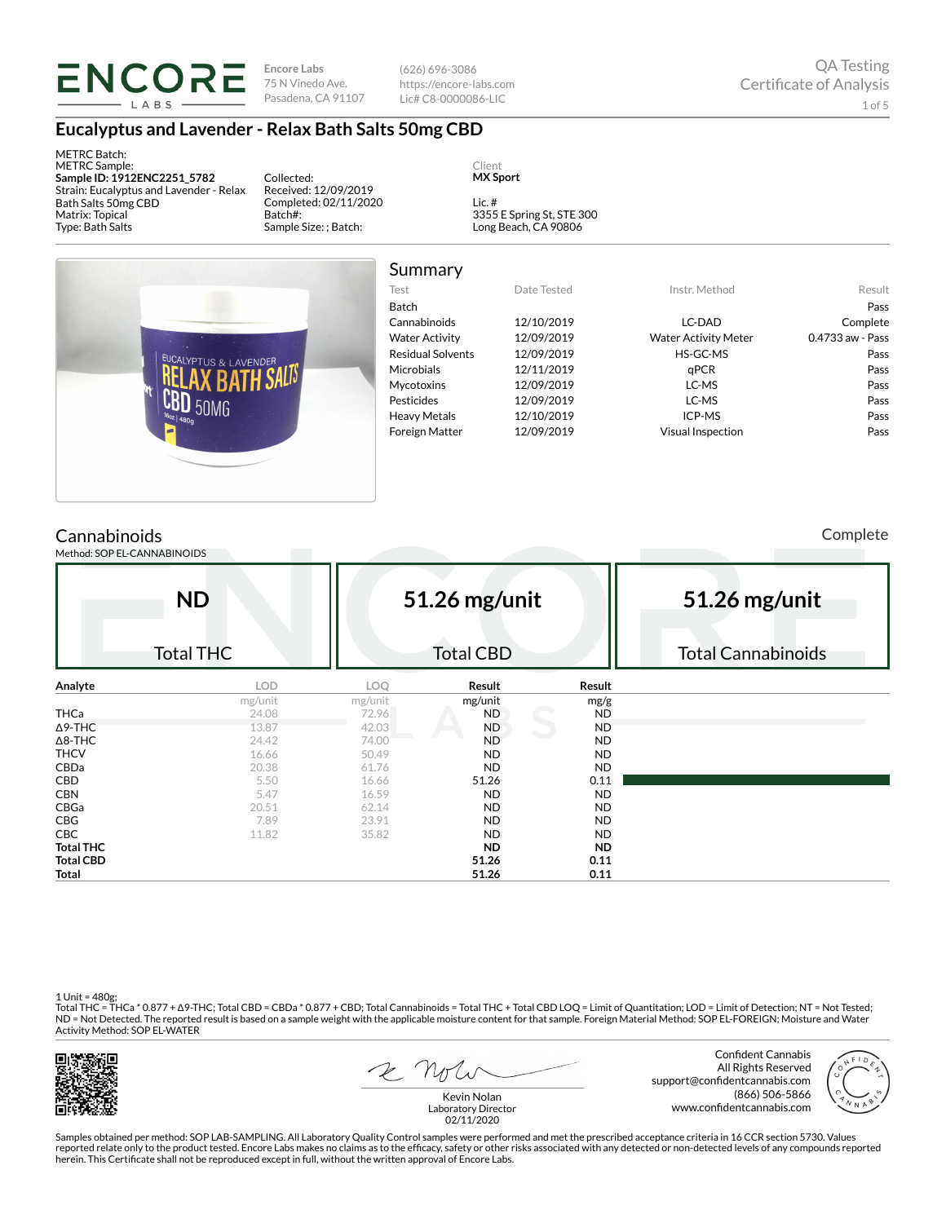# **ENCORE** LABS

**Encore Labs** 75 N Vinedo Ave. Pasadena, CA 91107

(626) 696-3086 https://encore-labs.com Lic# C8-0000086-LIC

## **Eucalyptus and Lavender - Relax Bath Salts 50mg CBD**

METRC Batch: METRC Sample: **Sample ID: 1912ENC2251\_5782** Strain: Eucalyptus and Lavender - Relax Bath Salts 50mg CBD Matrix: Topical Type: Bath Salts

Collected: Received: 12/09/2019 Completed: 02/11/2020 Batch#: Sample Size: ; Batch:

Client **MX Sport**

Lic. # 3355 E Spring St, STE 300 Long Beach, CA 90806



| Summary                  |             |                             |                  |
|--------------------------|-------------|-----------------------------|------------------|
| Test                     | Date Tested | Instr. Method               | Result           |
| Batch                    |             |                             | Pass             |
| Cannabinoids             | 12/10/2019  | LC-DAD                      | Complete         |
| <b>Water Activity</b>    | 12/09/2019  | <b>Water Activity Meter</b> | 0.4733 aw - Pass |
| <b>Residual Solvents</b> | 12/09/2019  | HS-GC-MS                    | Pass             |
| <b>Microbials</b>        | 12/11/2019  | aPCR                        | Pass             |
| <b>Mycotoxins</b>        | 12/09/2019  | LC-MS                       | Pass             |
| Pesticides               | 12/09/2019  | LC-MS                       | Pass             |
| <b>Heavy Metals</b>      | 12/10/2019  | ICP-MS                      | Pass             |
| <b>Foreign Matter</b>    | 12/09/2019  | Visual Inspection           | Pass             |

# **Cannabinoids**

Method: SOP EL-CANNABINOIDS

Complete

|                  | <b>ND</b>        | 51.26 mg/unit |                  |           | 51.26 mg/unit             |  |  |  |
|------------------|------------------|---------------|------------------|-----------|---------------------------|--|--|--|
|                  | <b>Total THC</b> |               | <b>Total CBD</b> |           | <b>Total Cannabinoids</b> |  |  |  |
| Analyte          | LOD              | LOQ           | Result           | Result    |                           |  |  |  |
|                  | mg/unit          | mg/unit       | mg/unit          | mg/g      |                           |  |  |  |
| <b>THCa</b>      | 24.08            | 72.96         | ND               | <b>ND</b> |                           |  |  |  |
| $\Delta$ 9-THC   | 13.87            | 42.03         | <b>ND</b>        | <b>ND</b> |                           |  |  |  |
| $\Delta$ 8-THC   | 24.42            | 74.00         | <b>ND</b>        | <b>ND</b> |                           |  |  |  |
| <b>THCV</b>      | 16.66            | 50.49         | <b>ND</b>        | <b>ND</b> |                           |  |  |  |
| CBDa             | 20.38            | 61.76         | <b>ND</b>        | <b>ND</b> |                           |  |  |  |
| CBD              | 5.50             | 16.66         | 51.26            | 0.11      |                           |  |  |  |
| <b>CBN</b>       | 5.47             | 16.59         | <b>ND</b>        | <b>ND</b> |                           |  |  |  |
| CBGa             | 20.51            | 62.14         | <b>ND</b>        | <b>ND</b> |                           |  |  |  |
| <b>CBG</b>       | 7.89             | 23.91         | <b>ND</b>        | <b>ND</b> |                           |  |  |  |
| CBC              | 11.82            | 35.82         | <b>ND</b>        | <b>ND</b> |                           |  |  |  |
| <b>Total THC</b> |                  |               | <b>ND</b>        | <b>ND</b> |                           |  |  |  |
| <b>Total CBD</b> |                  |               | 51.26            | 0.11      |                           |  |  |  |
| Total            |                  |               | 51.26            | 0.11      |                           |  |  |  |

1 Unit = 480g;

Total THC = THCa \* 0.877 + Δ9-THC; Total CBD = CBDa \* 0.877 + CBD; Total Cannabinoids = Total THC + Total CBD LOQ = Limit of Quantitation; LOD = Limit of Detection; NT = Not Tested;<br>ND = Not Detected. The reported result Activity Method: SOP EL-WATER



2 not

Confident Cannabis All Rights Reserved support@confidentcannabis.com (866) 506-5866 www.confidentcannabis.com



Kevin Nolan Laboratory Director 02/11/2020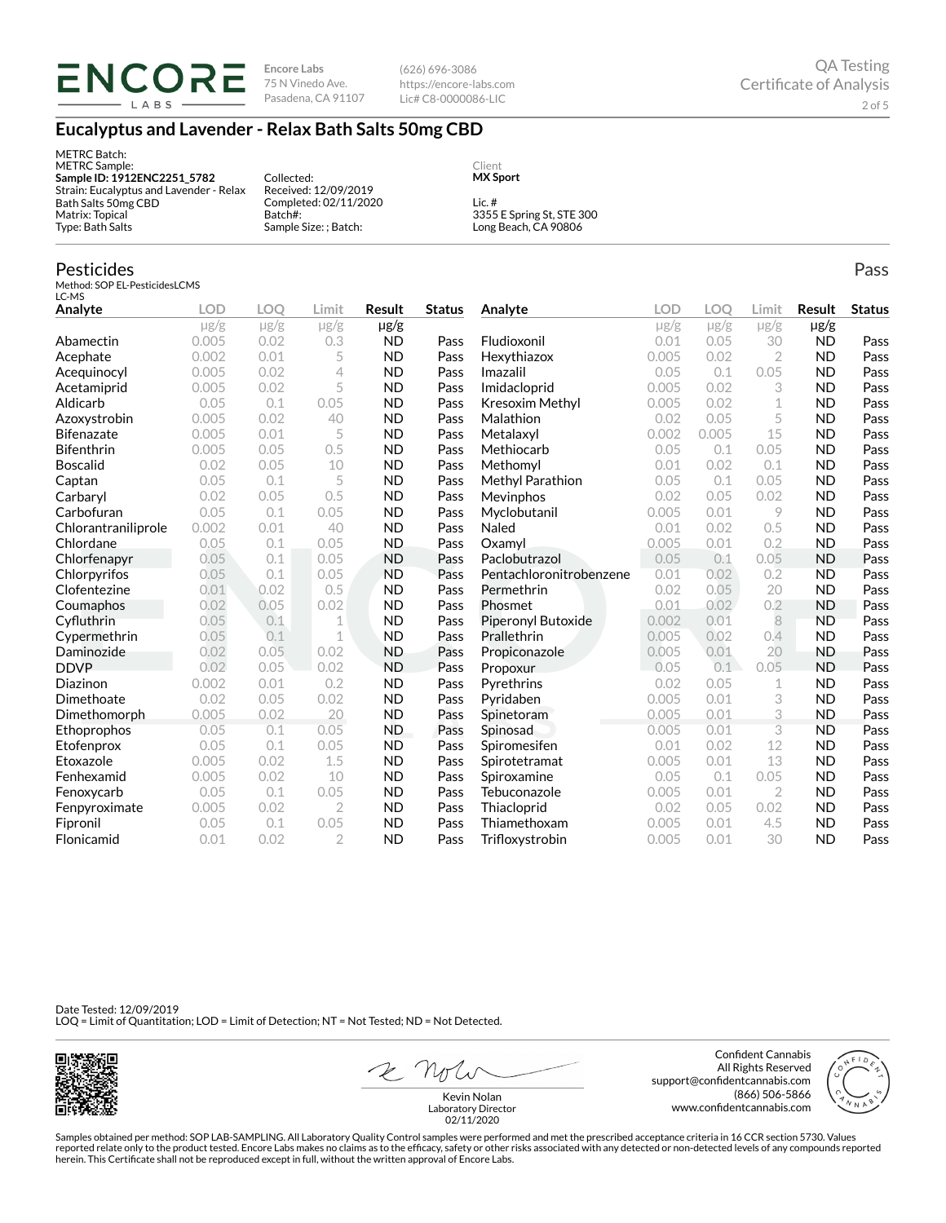**Encore Labs** Ericore Enco<br>75 N Vinedo Ave. Pasadena, CA 91107

(626) 696-3086 https://encore-labs.com Lic# C8-0000086-LIC

## **Eucalyptus and Lavender - Relax Bath Salts 50mg CBD**

METRC Batch: METRC Sample: **Sample ID: 1912ENC2251\_5782** Strain: Eucalyptus and Lavender - Relax Bath Salts 50mg CBD Matrix: Topical Type: Bath Salts Collected: Received: 12/09/2019 Completed: 02/11/2020 Batch#: Sample Size: ; Batch: Client **MX Sport** Lic. # 3355 E Spring St, STE 300 Long Beach, CA 90806

#### Pesticides

Method: SOP EL-PesticidesLCMS  $LC-MS$ 

| Analyte             | <b>LOD</b> | LOO       | Limit          | Result    | <b>Status</b> | Analyte                 | LOD       | LOO       | Limit          | <b>Result</b> | <b>Status</b> |
|---------------------|------------|-----------|----------------|-----------|---------------|-------------------------|-----------|-----------|----------------|---------------|---------------|
|                     | $\mu$ g/g  | $\mu$ g/g | $\mu$ g/g      | µg/g      |               |                         | $\mu$ g/g | $\mu$ g/g | $\mu$ g/g      | $\mu$ g/g     |               |
| Abamectin           | 0.005      | 0.02      | 0.3            | <b>ND</b> | Pass          | Fludioxonil             | 0.01      | 0.05      | 30             | <b>ND</b>     | Pass          |
| Acephate            | 0.002      | 0.01      | 5              | <b>ND</b> | Pass          | Hexythiazox             | 0.005     | 0.02      | $\overline{2}$ | <b>ND</b>     | Pass          |
| Acequinocyl         | 0.005      | 0.02      | 4              | <b>ND</b> | Pass          | Imazalil                | 0.05      | 0.1       | 0.05           | <b>ND</b>     | Pass          |
| Acetamiprid         | 0.005      | 0.02      | 5              | <b>ND</b> | Pass          | Imidacloprid            | 0.005     | 0.02      | 3              | <b>ND</b>     | Pass          |
| Aldicarb            | 0.05       | 0.1       | 0.05           | <b>ND</b> | Pass          | Kresoxim Methyl         | 0.005     | 0.02      | 1              | <b>ND</b>     | Pass          |
| Azoxystrobin        | 0.005      | 0.02      | 40             | <b>ND</b> | Pass          | Malathion               | 0.02      | 0.05      | 5              | <b>ND</b>     | Pass          |
| <b>Bifenazate</b>   | 0.005      | 0.01      | 5              | <b>ND</b> | Pass          | Metalaxyl               | 0.002     | 0.005     | 15             | <b>ND</b>     | Pass          |
| <b>Bifenthrin</b>   | 0.005      | 0.05      | 0.5            | <b>ND</b> | Pass          | Methiocarb              | 0.05      | 0.1       | 0.05           | <b>ND</b>     | Pass          |
| <b>Boscalid</b>     | 0.02       | 0.05      | 10             | <b>ND</b> | Pass          | Methomyl                | 0.01      | 0.02      | 0.1            | <b>ND</b>     | Pass          |
| Captan              | 0.05       | 0.1       | 5              | <b>ND</b> | Pass          | Methyl Parathion        | 0.05      | 0.1       | 0.05           | <b>ND</b>     | Pass          |
| Carbaryl            | 0.02       | 0.05      | 0.5            | <b>ND</b> | Pass          | Mevinphos               | 0.02      | 0.05      | 0.02           | <b>ND</b>     | Pass          |
| Carbofuran          | 0.05       | 0.1       | 0.05           | <b>ND</b> | Pass          | Myclobutanil            | 0.005     | 0.01      | 9              | <b>ND</b>     | Pass          |
| Chlorantraniliprole | 0.002      | 0.01      | 40             | <b>ND</b> | Pass          | Naled                   | 0.01      | 0.02      | 0.5            | <b>ND</b>     | Pass          |
| Chlordane           | 0.05       | 0.1       | 0.05           | <b>ND</b> | Pass          | Oxamvl                  | 0.005     | 0.01      | 0.2            | <b>ND</b>     | Pass          |
| Chlorfenapyr        | 0.05       | 0.1       | 0.05           | <b>ND</b> | Pass          | Paclobutrazol           | 0.05      | 0.1       | 0.05           | <b>ND</b>     | Pass          |
| Chlorpyrifos        | 0.05       | 0.1       | 0.05           | <b>ND</b> | Pass          | Pentachloronitrobenzene | 0.01      | 0.02      | 0.2            | <b>ND</b>     | Pass          |
| Clofentezine        | 0.01       | 0.02      | 0.5            | <b>ND</b> | Pass          | Permethrin              | 0.02      | 0.05      | 20             | <b>ND</b>     | Pass          |
| Coumaphos           | 0.02       | 0.05      | 0.02           | <b>ND</b> | Pass          | Phosmet                 | 0.01      | 0.02      | 0.2            | <b>ND</b>     | Pass          |
| Cyfluthrin          | 0.05       | 0.1       | 1              | <b>ND</b> | Pass          | Piperonyl Butoxide      | 0.002     | 0.01      | 8              | <b>ND</b>     | Pass          |
| Cypermethrin        | 0.05       | 0.1       | 1              | <b>ND</b> | Pass          | Prallethrin             | 0.005     | 0.02      | 0.4            | <b>ND</b>     | Pass          |
| Daminozide          | 0.02       | 0.05      | 0.02           | <b>ND</b> | Pass          | Propiconazole           | 0.005     | 0.01      | 20             | <b>ND</b>     | Pass          |
| <b>DDVP</b>         | 0.02       | 0.05      | 0.02           | <b>ND</b> | Pass          | Propoxur                | 0.05      | 0.1       | 0.05           | <b>ND</b>     | Pass          |
| Diazinon            | 0.002      | 0.01      | 0.2            | <b>ND</b> | Pass          | Pyrethrins              | 0.02      | 0.05      | 1              | <b>ND</b>     | Pass          |
| Dimethoate          | 0.02       | 0.05      | 0.02           | <b>ND</b> | Pass          | Pyridaben               | 0.005     | 0.01      | 3              | <b>ND</b>     | Pass          |
| Dimethomorph        | 0.005      | 0.02      | 20             | <b>ND</b> | Pass          | Spinetoram              | 0.005     | 0.01      | 3              | <b>ND</b>     | Pass          |
| Ethoprophos         | 0.05       | 0.1       | 0.05           | <b>ND</b> | Pass          | Spinosad                | 0.005     | 0.01      | 3              | <b>ND</b>     | Pass          |
| Etofenprox          | 0.05       | 0.1       | 0.05           | <b>ND</b> | Pass          | Spiromesifen            | 0.01      | 0.02      | 12             | <b>ND</b>     | Pass          |
| Etoxazole           | 0.005      | 0.02      | 1.5            | <b>ND</b> | Pass          | Spirotetramat           | 0.005     | 0.01      | 13             | <b>ND</b>     | Pass          |
| Fenhexamid          | 0.005      | 0.02      | 10             | <b>ND</b> | Pass          | Spiroxamine             | 0.05      | 0.1       | 0.05           | <b>ND</b>     | Pass          |
| Fenoxycarb          | 0.05       | 0.1       | 0.05           | <b>ND</b> | Pass          | Tebuconazole            | 0.005     | 0.01      | $\overline{2}$ | <b>ND</b>     | Pass          |
| Fenpyroximate       | 0.005      | 0.02      | $\overline{2}$ | <b>ND</b> | Pass          | Thiacloprid             | 0.02      | 0.05      | 0.02           | <b>ND</b>     | Pass          |
| Fipronil            | 0.05       | 0.1       | 0.05           | <b>ND</b> | Pass          | Thiamethoxam            | 0.005     | 0.01      | 4.5            | <b>ND</b>     | Pass          |
| Flonicamid          | 0.01       | 0.02      | $\overline{2}$ | <b>ND</b> | Pass          | Trifloxystrobin         | 0.005     | 0.01      | 30             | <b>ND</b>     | Pass          |

Date Tested: 12/09/2019 LOQ = Limit of Quantitation; LOD = Limit of Detection; NT = Not Tested; ND = Not Detected.



2 Not

Confident Cannabis All Rights Reserved support@confidentcannabis.com (866) 506-5866 www.confidentcannabis.com



Kevin Nolan Laboratory Director 02/11/2020

Samples obtained per method: SOP LAB-SAMPLING. All Laboratory Quality Control samples were performed and met the prescribed acceptance criteria in 16 CCR section 5730. Values reported relate only to the product tested. Encore Labs makes no claims as to the efficacy, safety or other risks associated with any detected or non-detected levels of any compounds reported<br>herein. This Certificate shall

Pass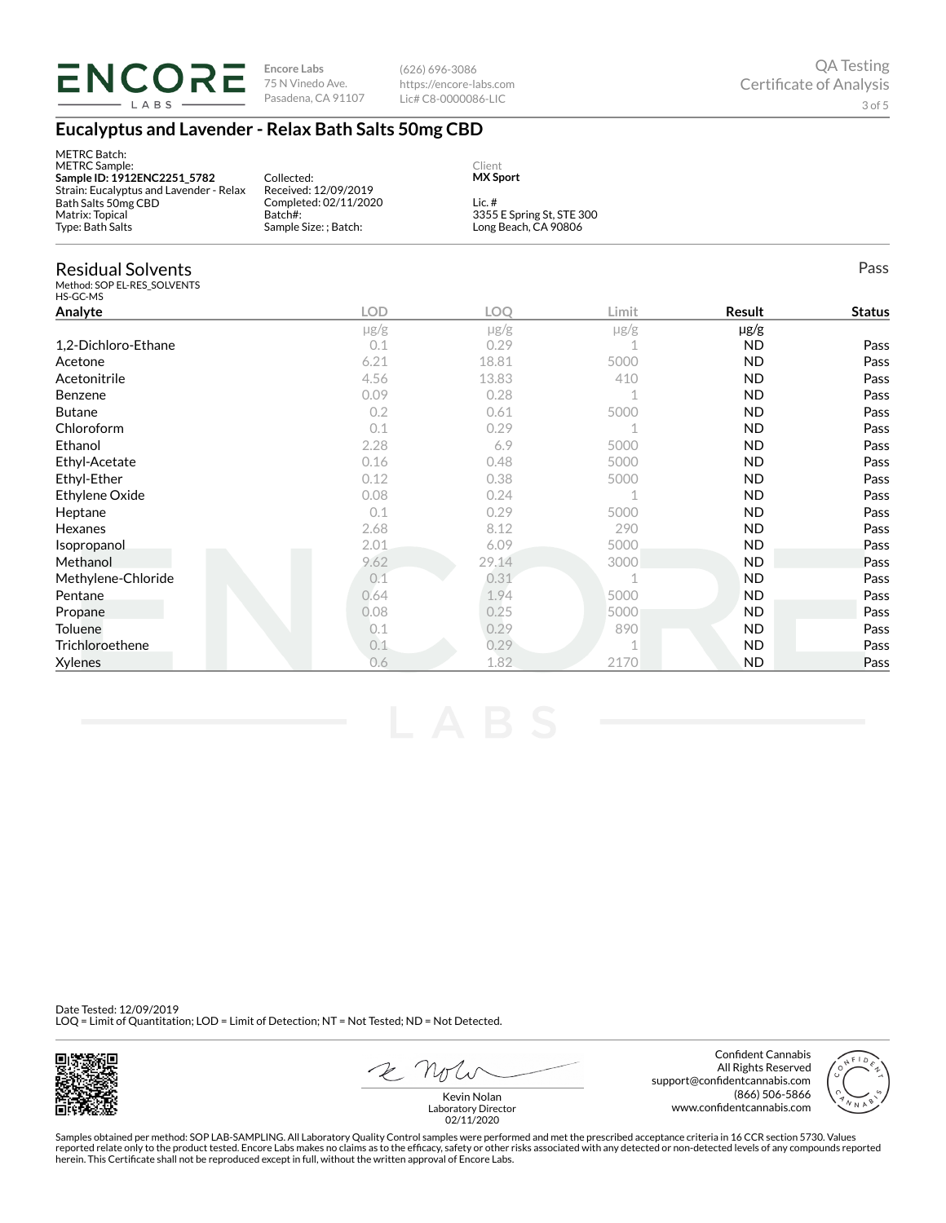

METRC Batch:

**Encore Labs** 75 N Vinedo Ave.

Pasadena, CA 91107 Lic# C8-0000086-LIC (626) 696-3086 https://encore-labs.com

## **Eucalyptus and Lavender - Relax Bath Salts 50mg CBD**

| METRC Batch:<br><b>METRC</b> Sample:<br>Sample ID: 1912ENC2251_5782<br>Strain: Eucalyptus and Lavender - Relax | Collected:<br>Received: 12/09/2019                        | Client<br><b>MX Sport</b> |                                                   |           |               |  |
|----------------------------------------------------------------------------------------------------------------|-----------------------------------------------------------|---------------------------|---------------------------------------------------|-----------|---------------|--|
| Bath Salts 50mg CBD<br>Matrix: Topical<br>Type: Bath Salts                                                     | Completed: 02/11/2020<br>Batch#:<br>Sample Size: ; Batch: | Lic. $#$                  | 3355 E Spring St, STE 300<br>Long Beach, CA 90806 |           |               |  |
| <b>Residual Solvents</b><br>Method: SOP EL-RES SOLVENTS<br>HS-GC-MS                                            |                                                           |                           |                                                   |           | Pass          |  |
| Analyte                                                                                                        | <b>LOD</b>                                                | <b>LOO</b>                | Limit                                             | Result    | <b>Status</b> |  |
|                                                                                                                | $\mu$ g/g                                                 | $\mu$ g/g                 | $\mu$ g/g                                         | $\mu$ g/g |               |  |
| 1.2-Dichloro-Ethane                                                                                            | 0.1                                                       | 0.29                      | 1                                                 | <b>ND</b> | Pass          |  |
| Acetone                                                                                                        | 6.21                                                      | 18.81                     | 5000                                              | <b>ND</b> | Pass          |  |
| Acetonitrile                                                                                                   | 4.56                                                      | 13.83                     | 410                                               | <b>ND</b> | Pass          |  |
| Benzene                                                                                                        | 0.09                                                      | 0.28                      |                                                   | <b>ND</b> | Pass          |  |
| <b>Butane</b>                                                                                                  | 0.2                                                       | 0.61                      | 5000                                              | <b>ND</b> | Pass          |  |
| Chloroform                                                                                                     | 0.1                                                       | 0.29                      | 1                                                 | <b>ND</b> | Pass          |  |
| Ethanol                                                                                                        | 2.28                                                      | 6.9                       | 5000                                              | <b>ND</b> | Pass          |  |
| Ethyl-Acetate                                                                                                  | 0.16                                                      | 0.48                      | 5000                                              | <b>ND</b> | Pass          |  |
| Ethyl-Ether                                                                                                    | 0.12                                                      | 0.38                      | 5000                                              | <b>ND</b> | Pass          |  |
| Ethylene Oxide                                                                                                 | 0.08                                                      | 0.24                      |                                                   | <b>ND</b> | Pass          |  |
| Heptane                                                                                                        | 0.1                                                       | 0.29                      | 5000                                              | <b>ND</b> | Pass          |  |
| Hexanes                                                                                                        | 2.68                                                      | 8.12                      | 290                                               | <b>ND</b> | Pass          |  |
| Isopropanol                                                                                                    | 2.01                                                      | 6.09                      | 5000                                              | <b>ND</b> | Pass          |  |
| Methanol                                                                                                       | 9.62                                                      | 29.14                     | 3000                                              | <b>ND</b> | Pass          |  |
| Methylene-Chloride                                                                                             | 0.1                                                       | 0.31                      | $\mathbf 1$                                       | <b>ND</b> | Pass          |  |
| Pentane                                                                                                        | 0.64                                                      | 1.94                      | 5000                                              | <b>ND</b> | Pass          |  |
| Propane                                                                                                        | 0.08                                                      | 0.25                      | 5000                                              | <b>ND</b> | Pass          |  |
| Toluene                                                                                                        | 0.1                                                       | 0.29                      | 890                                               | <b>ND</b> | Pass          |  |
| Trichloroethene                                                                                                | 0.1                                                       | 0.29                      | 1                                                 | <b>ND</b> | Pass          |  |
| Xylenes                                                                                                        | 0.6                                                       | 1.82                      | 2170                                              | <b>ND</b> | Pass          |  |

Date Tested: 12/09/2019 LOQ = Limit of Quantitation; LOD = Limit of Detection; NT = Not Tested; ND = Not Detected.



2 Not

Confident Cannabis All Rights Reserved support@confidentcannabis.com (866) 506-5866 www.confidentcannabis.com



Kevin Nolan Laboratory Director 02/11/2020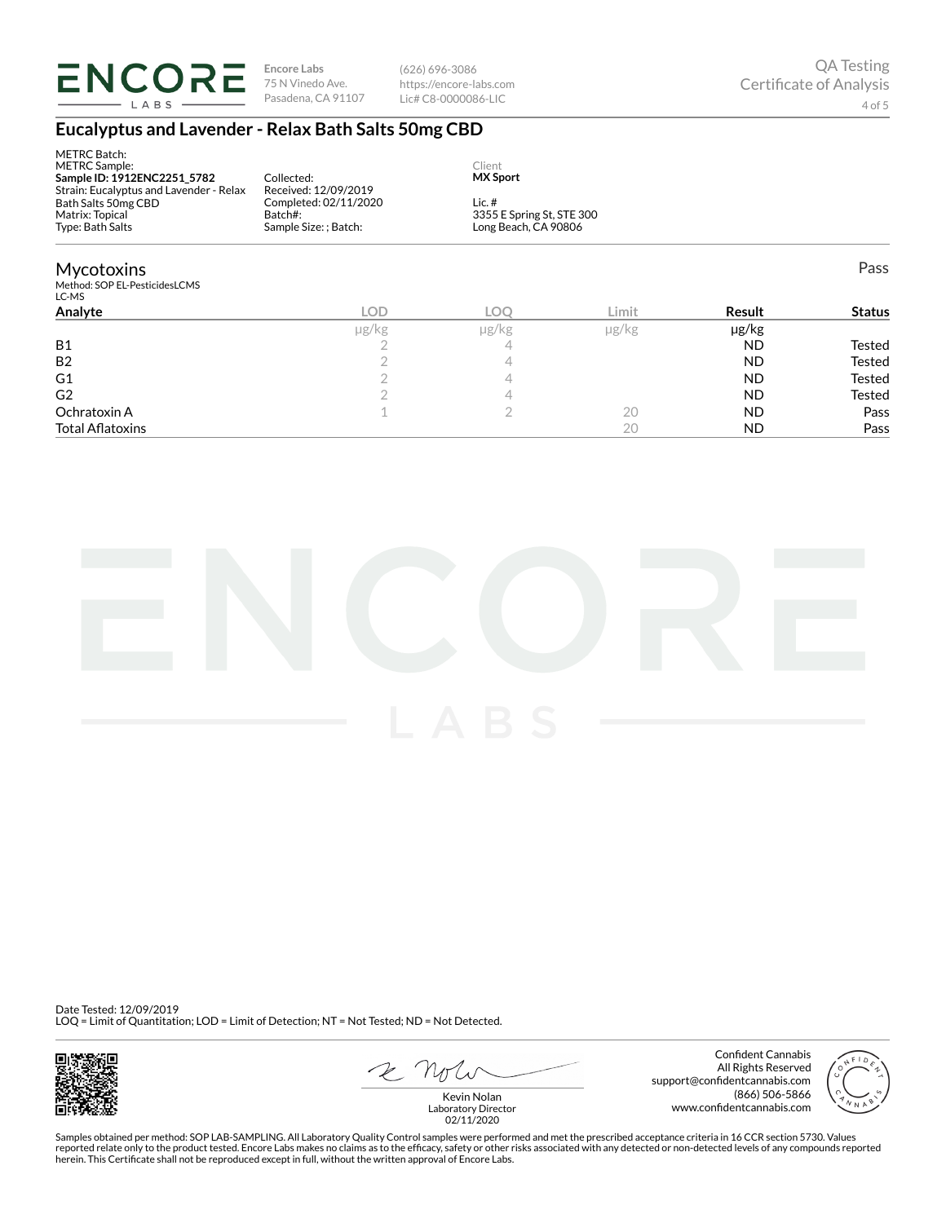

METRC Batch:

**Encore Labs** 75 N Vinedo Ave. Pasadena, CA 91107

(626) 696-3086 https://encore-labs.com Lic# C8-0000086-LIC

### **Eucalyptus and Lavender - Relax Bath Salts 50mg CBD**

| METRC Batch:<br><b>METRC Sample:</b><br>Sample ID: 1912ENC2251 5782<br>Strain: Eucalyptus and Lavender - Relax<br>Bath Salts 50mg CBD<br>Matrix: Topical<br>Type: Bath Salts | Collected:<br>Received: 12/09/2019<br>Completed: 02/11/2020<br>Batch#:<br>Sample Size: ; Batch: | Client<br><b>MX Sport</b><br>Lic. $#$ | 3355 E Spring St, STE 300<br>Long Beach, CA 90806 |               |               |  |  |
|------------------------------------------------------------------------------------------------------------------------------------------------------------------------------|-------------------------------------------------------------------------------------------------|---------------------------------------|---------------------------------------------------|---------------|---------------|--|--|
| <b>Mycotoxins</b><br>Method: SOP EL-PesticidesLCMS<br>LC-MS                                                                                                                  |                                                                                                 |                                       |                                                   |               | Pass          |  |  |
| Analyte                                                                                                                                                                      | <b>LOD</b>                                                                                      | LOO                                   | Limit                                             | <b>Result</b> | <b>Status</b> |  |  |
|                                                                                                                                                                              | µg/kg                                                                                           | µg/kg                                 | µg/kg                                             | µg/kg         |               |  |  |
| <b>B1</b>                                                                                                                                                                    |                                                                                                 | 4                                     |                                                   | <b>ND</b>     | Tested        |  |  |

B2 and  $\begin{array}{ccc} & 2 & 4 & 4 \end{array}$  and  $\begin{array}{ccc} & 1 & 1 \end{array}$  and  $\begin{array}{ccc} & 2 & 4 \end{array}$  and  $\begin{array}{ccc} & & \end{array}$  and  $\begin{array}{ccc} & & \end{array}$  and  $\begin{array}{ccc} & & \end{array}$  are  $\begin{array}{ccc} & & \end{array}$  and  $\begin{array}{ccc} & & \end{array}$  and  $\begin{array}{ccc} & & \end{array}$  are  $\begin{array}{ccc} & &$ G1 2 4 ND Tested  $\begin{array}{cccccccccccccc} \textsf{G2} & & & & 2 & & & 4 & & & & & \textsf{ND} & & & \textsf{Tested} \end{array}$ Ochratoxin A  $\qquad \qquad \qquad 1$   $\qquad \qquad 2$   $\qquad \qquad 20$   $\qquad \qquad \textsf{ND}$  Pass Total AØatoxins 20 ND Pass



Date Tested: 12/09/2019 LOQ = Limit of Quantitation; LOD = Limit of Detection; NT = Not Tested; ND = Not Detected.



E not

Confident Cannabis All Rights Reserved support@confidentcannabis.com (866) 506-5866 www.confidentcannabis.com



Kevin Nolan Laboratory Director 02/11/2020